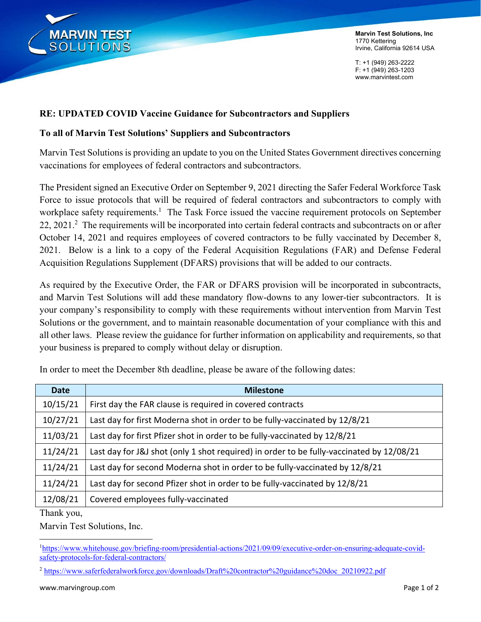

**Marvin Test Solutions, Inc**  1770 Kettering Irvine, California 92614 USA

T: +1 (949) 263-2222 F: +1 (949) 263-1203 www.marvintest.com

# **RE: UPDATED COVID Vaccine Guidance for Subcontractors and Suppliers**

### **To all of Marvin Test Solutions' Suppliers and Subcontractors**

Marvin Test Solutions is providing an update to you on the United States Government directives concerning vaccinations for employees of federal contractors and subcontractors.

The President signed an Executive Order on September 9, 2021 directing the Safer Federal Workforce Task Force to issue protocols that will be required of federal contractors and subcontractors to comply with workplace safety requirements.<sup>1</sup> The Task Force issued the vaccine requirement protocols on September 22, 2021.<sup>2</sup> The requirements will be incorporated into certain federal contracts and subcontracts on or after October 14, 2021 and requires employees of covered contractors to be fully vaccinated by December 8, 2021. Below is a link to a copy of the Federal Acquisition Regulations (FAR) and Defense Federal Acquisition Regulations Supplement (DFARS) provisions that will be added to our contracts.

As required by the Executive Order, the FAR or DFARS provision will be incorporated in subcontracts, and Marvin Test Solutions will add these mandatory flow-downs to any lower-tier subcontractors. It is your company's responsibility to comply with these requirements without intervention from Marvin Test Solutions or the government, and to maintain reasonable documentation of your compliance with this and all other laws. Please review the guidance for further information on applicability and requirements, so that your business is prepared to comply without delay or disruption.

| <b>Date</b> | <b>Milestone</b>                                                                         |
|-------------|------------------------------------------------------------------------------------------|
| 10/15/21    | First day the FAR clause is required in covered contracts                                |
| 10/27/21    | Last day for first Moderna shot in order to be fully-vaccinated by 12/8/21               |
| 11/03/21    | Last day for first Pfizer shot in order to be fully-vaccinated by 12/8/21                |
| 11/24/21    | Last day for J&J shot (only 1 shot required) in order to be fully-vaccinated by 12/08/21 |
| 11/24/21    | Last day for second Moderna shot in order to be fully-vaccinated by 12/8/21              |
| 11/24/21    | Last day for second Pfizer shot in order to be fully-vaccinated by 12/8/21               |
| 12/08/21    | Covered employees fully-vaccinated                                                       |
|             |                                                                                          |

In order to meet the December 8th deadline, please be aware of the following dates:

Thank you,

Marvin Test Solutions, Inc.

<sup>&</sup>lt;sup>1</sup>https://www.whitehouse.gov/briefing-room/presidential-actions/2021/09/09/executive-order-on-ensuring-adequate-covidsafety-protocols-for-federal-contractors/

<sup>2</sup> https://www.saferfederalworkforce.gov/downloads/Draft%20contractor%20guidance%20doc\_20210922.pdf